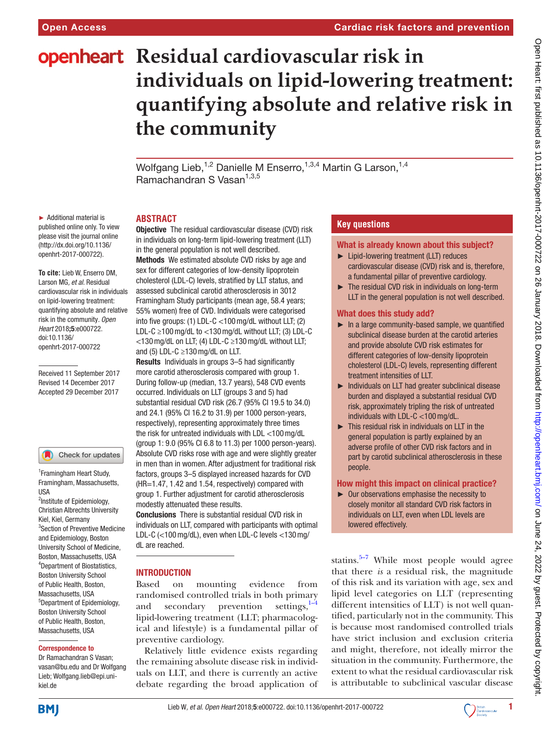# **openheart** Residual cardiovascular risk in **individuals on lipid-lowering treatment: quantifying absolute and relative risk in the community**

Wolfgang Lieb,<sup>1,2</sup> Danielle M Enserro,<sup>1,3,4</sup> Martin G Larson,<sup>1,4</sup> Ramachandran S Vasan<sup>1,3,5</sup>

## **Abstract**

► Additional material is published online only. To view please visit the journal online (http://dx.doi.org/10.1136/ openhrt-2017-000722).

**To cite:** Lieb W, Enserro DM, Larson MG*, et al*. Residual cardiovascular risk in individuals on lipid-lowering treatment: quantifying absolute and relative risk in the community*. Open Heart* 2018;5:e000722. doi:10.1136/ openhrt-2017-000722

Received 11 September 2017 Revised 14 December 2017 Accepted 29 December 2017

#### Check for updates

1 Framingham Heart Study, Framingham, Massachusetts, USA <sup>2</sup>Institute of Epidemiology, Christian Albrechts University Kiel, Kiel, Germany 3 Section of Preventive Medicine and Epidemiology, Boston University School of Medicine, Boston, Massachusetts, USA 4 Department of Biostatistics, Boston University School of Public Health, Boston, Massachusetts, USA 5 Department of Epidemiology, Boston University School of Public Health, Boston, Massachusetts, USA

#### Correspondence to

Dr Ramachandran S Vasan; vasan@bu.edu and Dr Wolfgang Lieb; Wolfgang.lieb@epi.unikiel.de

**Objective** The residual cardiovascular disease (CVD) risk in individuals on long-term lipid-lowering treatment (LLT) in the general population is not well described.

Methods We estimated absolute CVD risks by age and sex for different categories of low-density lipoprotein cholesterol (LDL-C) levels, stratified by LLT status, and assessed subclinical carotid atherosclerosis in 3012 Framingham Study participants (mean age, 58.4 years; 55% women) free of CVD. Individuals were categorised into five groups: (1) LDL-C <100mg/dL without LLT; (2) LDL-C ≥100mg/dL to <130mg/dL without LLT; (3) LDL-C <130mg/dL on LLT; (4) LDL-C ≥130mg/dL without LLT; and (5) LDL-C  $\geq$ 130 mg/dL on LLT.

Results Individuals in groups 3–5 had significantly more carotid atherosclerosis compared with group 1. During follow-up (median, 13.7 years), 548 CVD events occurred. Individuals on LLT (groups 3 and 5) had substantial residual CVD risk (26.7 (95% CI 19.5 to 34.0) and 24.1 (95% CI 16.2 to 31.9) per 1000 person-years, respectively), representing approximately three times the risk for untreated individuals with LDL <100mg/dL (group 1: 9.0 (95% CI 6.8 to 11.3) per 1000 person-years). Absolute CVD risks rose with age and were slightly greater in men than in women. After adjustment for traditional risk factors, groups 3–5 displayed increased hazards for CVD (HR=1.47, 1.42 and 1.54, respectively) compared with group 1. Further adjustment for carotid atherosclerosis modestly attenuated these results.

Conclusions There is substantial residual CVD risk in individuals on LLT, compared with participants with optimal LDL-C (<100mg/dL), even when LDL-C levels <130mg/ dL are reached.

## **INTRODUCTION**

Based on mounting evidence from randomised controlled trials in both primary and secondary prevention settings,  $1-4$ lipid-lowering treatment (LLT; pharmacological and lifestyle) is a fundamental pillar of preventive cardiology.

Relatively little evidence exists regarding the remaining absolute disease risk in individuals on LLT, and there is currently an active debate regarding the broad application of

## **Key questions**

#### What is already known about this subject?

- ► Lipid-lowering treatment (LLT) reduces cardiovascular disease (CVD) risk and is, therefore, a fundamental pillar of preventive cardiology.
- $\blacktriangleright$  The residual CVD risk in individuals on long-term LLT in the general population is not well described.

## What does this study add?

- ► In a large community-based sample, we quantified subclinical disease burden at the carotid arteries and provide absolute CVD risk estimates for different categories of low-density lipoprotein cholesterol (LDL-C) levels, representing different treatment intensities of LLT.
- ► Individuals on LLT had greater subclinical disease burden and displayed a substantial residual CVD risk, approximately tripling the risk of untreated individuals with LDL-C <100mg/dL.
- ► This residual risk in individuals on LLT in the general population is partly explained by an adverse profile of other CVD risk factors and in part by carotid subclinical atherosclerosis in these people.

#### How might this impact on clinical practice?

► Our observations emphasise the necessity to closely monitor all standard CVD risk factors in individuals on LLT, even when LDL levels are lowered effectively.

statins. $5-7$  While most people would agree that there *is* a residual risk, the magnitude of this risk and its variation with age, sex and lipid level categories on LLT (representing different intensities of LLT) is not well quantified, particularly not in the community. This is because most randomised controlled trials have strict inclusion and exclusion criteria and might, therefore, not ideally mirror the situation in the community. Furthermore, the extent to what the residual cardiovascular risk is attributable to subclinical vascular disease

**BMJ** 

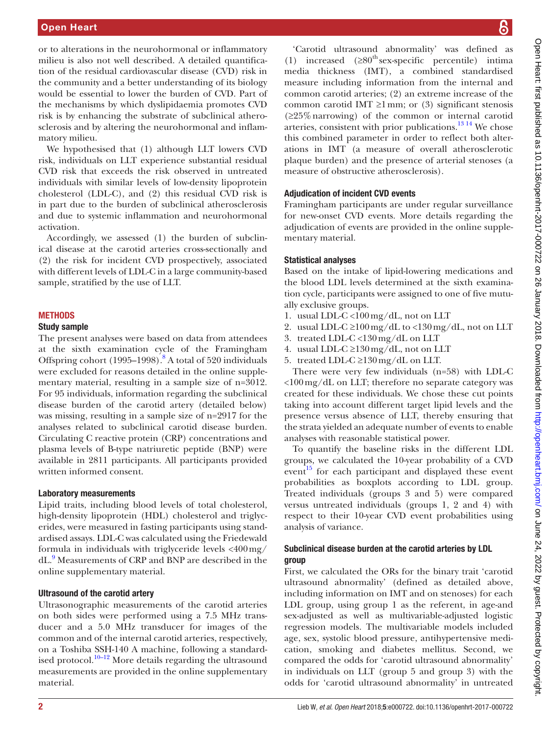or to alterations in the neurohormonal or inflammatory milieu is also not well described. A detailed quantification of the residual cardiovascular disease (CVD) risk in the community and a better understanding of its biology would be essential to lower the burden of CVD. Part of the mechanisms by which dyslipidaemia promotes CVD risk is by enhancing the substrate of subclinical atherosclerosis and by altering the neurohormonal and inflammatory milieu.

We hypothesised that (1) although LLT lowers CVD risk, individuals on LLT experience substantial residual CVD risk that exceeds the risk observed in untreated individuals with similar levels of low-density lipoprotein cholesterol (LDL-C), and (2) this residual CVD risk is in part due to the burden of subclinical atherosclerosis and due to systemic inflammation and neurohormonal activation.

Accordingly, we assessed (1) the burden of subclinical disease at the carotid arteries cross-sectionally and (2) the risk for incident CVD prospectively, associated with different levels of LDL-C in a large community-based sample, stratified by the use of LLT.

#### **METHODS**

## Study sample

The present analyses were based on data from attendees at the sixth examination cycle of the Framingham Offspring cohort (1995–1998).<sup>8</sup> A total of 520 individuals were excluded for reasons detailed in the online [supple](https://dx.doi.org/10.1136/openhrt-2017-000722)[mentary material](https://dx.doi.org/10.1136/openhrt-2017-000722), resulting in a sample size of n=3012. For 95 individuals, information regarding the subclinical disease burden of the carotid artery (detailed below) was missing, resulting in a sample size of n=2917 for the analyses related to subclinical carotid disease burden. Circulating C reactive protein (CRP) concentrations and plasma levels of B-type natriuretic peptide (BNP) were available in 2811 participants. All participants provided written informed consent.

#### Laboratory measurements

Lipid traits, including blood levels of total cholesterol, high-density lipoprotein (HDL) cholesterol and triglycerides, were measured in fasting participants using standardised assays. LDL-C was calculated using the Friedewald formula in individuals with triglyceride levels <400mg/ dL[.9](#page-9-3) Measurements of CRP and BNP are described in the online [supplementary material.](https://dx.doi.org/10.1136/openhrt-2017-000722)

#### Ultrasound of the carotid artery

Ultrasonographic measurements of the carotid arteries on both sides were performed using a 7.5 MHz transducer and a 5.0 MHz transducer for images of the common and of the internal carotid arteries, respectively, on a Toshiba SSH-140 A machine, following a standardised protocol. $10-12$  More details regarding the ultrasound measurements are provided in the online [supplementary](https://dx.doi.org/10.1136/openhrt-2017-000722) [material](https://dx.doi.org/10.1136/openhrt-2017-000722).

'Carotid ultrasound abnormality' was defined as (1) increased  $(≥80<sup>th</sup> sex-specific percentile)$  intima media thickness (IMT), a combined standardised measure including information from the internal and common carotid arteries; (2) an extreme increase of the common carotid IMT  $\geq$ 1 mm; or (3) significant stenosis (≥25%narrowing) of the common or internal carotid arteries, consistent with prior publications.<sup>13 14</sup> We chose this combined parameter in order to reflect both alterations in IMT (a measure of overall atherosclerotic plaque burden) and the presence of arterial stenoses (a measure of obstructive atherosclerosis).

#### Adjudication of incident CVD events

Framingham participants are under regular surveillance for new-onset CVD events. More details regarding the adjudication of events are provided in the online [supple](https://dx.doi.org/10.1136/openhrt-2017-000722)[mentary material](https://dx.doi.org/10.1136/openhrt-2017-000722).

#### Statistical analyses

Based on the intake of lipid-lowering medications and the blood LDL levels determined at the sixth examination cycle, participants were assigned to one of five mutually exclusive groups.

- 1. usual LDL-C <100mg/dL, not on LLT
- 2. usual LDL-C  $\geq$ 100 mg/dL to <130 mg/dL, not on LLT
- 3. treated LDL-C <130mg/dL on LLT
- 4. usual LDL-C  $\geq$ 130 mg/dL, not on LLT
- 5. treated LDL-C  $\geq$ 130 mg/dL on LLT.

There were very few individuals (n=58) with LDL-C <100mg/dL on LLT; therefore no separate category was created for these individuals. We chose these cut points taking into account different target lipid levels and the presence versus absence of LLT, thereby ensuring that the strata yielded an adequate number of events to enable analyses with reasonable statistical power.

To quantify the baseline risks in the different LDL groups, we calculated the 10-year probability of a CVD event<sup>15</sup> for each participant and displayed these event probabilities as boxplots according to LDL group. Treated individuals (groups 3 and 5) were compared versus untreated individuals (groups 1, 2 and 4) with respect to their 10-year CVD event probabilities using analysis of variance.

## Subclinical disease burden at the carotid arteries by LDL group

First, we calculated the ORs for the binary trait 'carotid ultrasound abnormality' (defined as detailed above, including information on IMT and on stenoses) for each LDL group, using group 1 as the referent, in age-and sex-adjusted as well as multivariable-adjusted logistic regression models. The multivariable models included age, sex, systolic blood pressure, antihypertensive medication, smoking and diabetes mellitus. Second, we compared the odds for 'carotid ultrasound abnormality' in individuals on LLT (group 5 and group 3) with the odds for 'carotid ultrasound abnormality' in untreated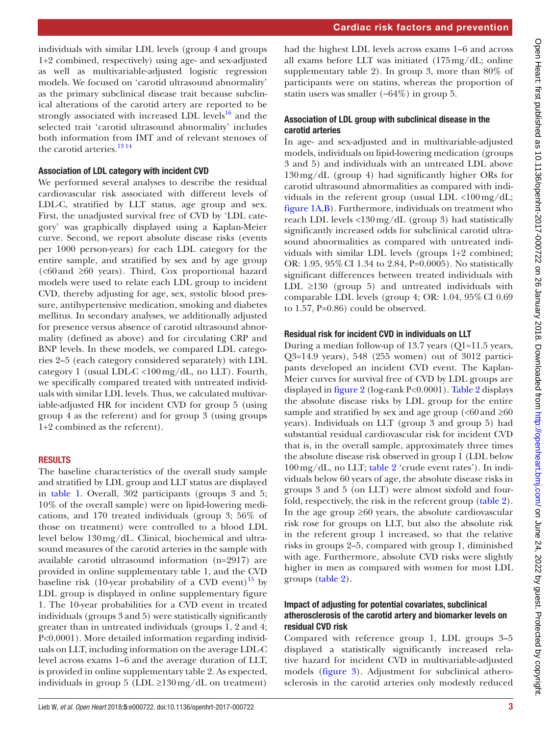individuals with similar LDL levels (group 4 and groups 1+2 combined, respectively) using age- and sex-adjusted as well as multivariable-adjusted logistic regression models. We focused on 'carotid ultrasound abnormality' as the primary subclinical disease trait because subclinical alterations of the carotid artery are reported to be strongly associated with increased LDL levels $^{16}$  and the selected trait 'carotid ultrasound abnormality' includes both information from IMT and of relevant stenoses of the carotid arteries.<sup>[13 14](#page-9-5)</sup>

#### Association of LDL category with incident CVD

We performed several analyses to describe the residual cardiovascular risk associated with different levels of LDL-C, stratified by LLT status, age group and sex. First, the unadjusted survival free of CVD by 'LDL category' was graphically displayed using a Kaplan-Meier curve. Second, we report absolute disease risks (events per 1000 person-years) for each LDL category for the entire sample, and stratified by sex and by age group  $\leq 60$  and  $\geq 60$  years). Third, Cox proportional hazard models were used to relate each LDL group to incident CVD, thereby adjusting for age, sex, systolic blood pressure, antihypertensive medication, smoking and diabetes mellitus. In secondary analyses, we additionally adjusted for presence versus absence of carotid ultrasound abnormality (defined as above) and for circulating CRP and BNP levels. In these models, we compared LDL categories 2–5 (each category considered separately) with LDL category 1 (usual LDL-C <100 mg/dL, no LLT). Fourth, we specifically compared treated with untreated individuals with similar LDL levels. Thus, we calculated multivariable-adjusted HR for incident CVD for group 5 (using group 4 as the referent) and for group 3 (using groups 1+2 combined as the referent).

## **RESULTS**

The baseline characteristics of the overall study sample and stratified by LDL group and LLT status are displayed in [table](#page-3-0) 1. Overall, 302 participants (groups 3 and 5; 10% of the overall sample) were on lipid-lowering medications, and 170 treated individuals (group 3; 56% of those on treatment) were controlled to a blood LDL level below 130mg/dL. Clinical, biochemical and ultrasound measures of the carotid arteries in the sample with available carotid ultrasound information (n=2917) are provided in online [supplementary table 1,](https://dx.doi.org/10.1136/openhrt-2017-000722) and the CVD baseline risk (10-year probability of a CVD event) $^{15}$  $^{15}$  $^{15}$  by LDL group is displayed in online [supplementary figure](https://dx.doi.org/10.1136/openhrt-2017-000722) [1.](https://dx.doi.org/10.1136/openhrt-2017-000722) The 10-year probabilities for a CVD event in treated individuals (groups 3 and 5) were statistically significantly greater than in untreated individuals (groups 1, 2 and 4; P<0.0001). More detailed information regarding individuals on LLT, including information on the average LDL-C level across exams 1–6 and the average duration of LLT, is provided in online [supplementary table 2.](https://dx.doi.org/10.1136/openhrt-2017-000722) As expected, individuals in group 5 (LDL  $\geq$ 130 mg/dL on treatment)

had the highest LDL levels across exams 1–6 and across all exams before LLT was initiated (175mg/dL; online [supplementary table 2\)](https://dx.doi.org/10.1136/openhrt-2017-000722). In group 3, more than 80% of participants were on statins, whereas the proportion of statin users was smaller  $(-64\%)$  in group 5.

## Association of LDL group with subclinical disease in the carotid arteries

In age- and sex-adjusted and in multivariable-adjusted models, individuals on lipid-lowering medication (groups 3 and 5) and individuals with an untreated LDL above 130mg/dL (group 4) had significantly higher ORs for carotid ultrasound abnormalities as compared with individuals in the referent group (usual LDL  $\langle 100 \text{ mg}/\text{dL} \rangle$ ; [figure](#page-4-0) 1A,B). Furthermore, individuals on treatment who reach LDL levels <130mg/dL (group 3) had statistically significantly increased odds for subclinical carotid ultrasound abnormalities as compared with untreated individuals with similar LDL levels (groups 1+2 combined; OR: 1.95, 95%CI 1.34 to 2.84, P=0.0005). No statistically significant differences between treated individuals with LDL  $\geq$ 130 (group 5) and untreated individuals with comparable LDL levels (group 4; OR: 1.04, 95%CI 0.69 to 1.57, P=0.86) could be observed.

### Residual risk for incident CVD in individuals on LLT

During a median follow-up of 13.7 years (Q1=11.5 years, Q3=14.9 years), 548 (255 women) out of 3012 participants developed an incident CVD event. The Kaplan-Meier curves for survival free of CVD by LDL groups are displayed in [figure](#page-5-0) 2 (log-rank P<0.0001). Table 2 displays the absolute disease risks by LDL group for the entire sample and stratified by sex and age group  $\langle$  <60 and  $\geq$  60 years). Individuals on LLT (group 3 and group 5) had substantial residual cardiovascular risk for incident CVD that is, in the overall sample, approximately three times the absolute disease risk observed in group 1 (LDL below 100mg/dL, no LLT; table 2 'crude event rates'). In individuals below 60 years of age, the absolute disease risks in groups 3 and 5 (on LLT) were almost sixfold and fourfold, respectively, the risk in the referent group (table 2). In the age group  $\geq 60$  years, the absolute cardiovascular risk rose for groups on LLT, but also the absolute risk in the referent group 1 increased, so that the relative risks in groups 2–5, compared with group 1, diminished with age. Furthermore, absolute CVD risks were slightly higher in men as compared with women for most LDL groups (table 2).

## Impact of adjusting for potential covariates, subclinical atherosclerosis of the carotid artery and biomarker levels on residual CVD risk

Compared with reference group 1, LDL groups 3–5 displayed a statistically significantly increased relative hazard for incident CVD in multivariable-adjusted models [\(figure](#page-7-0) 3). Adjustment for subclinical atherosclerosis in the carotid arteries only modestly reduced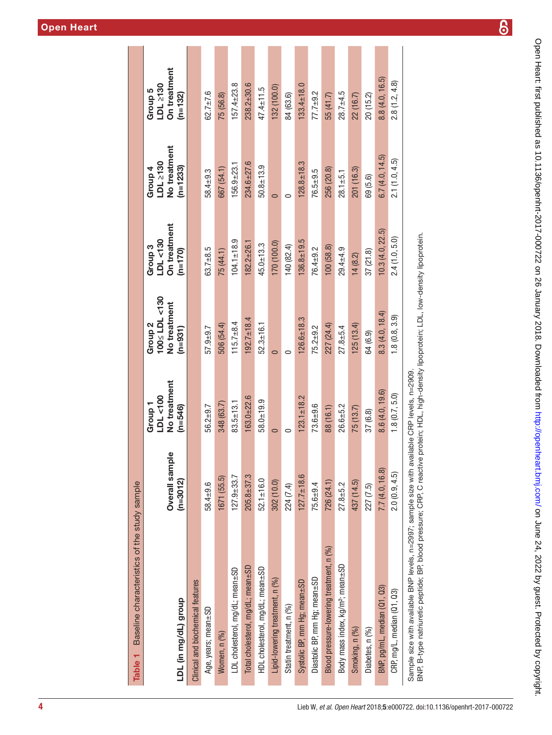| Baseline characteristics of the study sample<br>Table <sub>1</sub>                           |                            |                                                  |                                                                 |                                                  |                                                   |                                                  |
|----------------------------------------------------------------------------------------------|----------------------------|--------------------------------------------------|-----------------------------------------------------------------|--------------------------------------------------|---------------------------------------------------|--------------------------------------------------|
| LDL (in mg/dL) group                                                                         | Overall sample<br>(n=3012) | No treatment<br>LDL <100<br>Group 1<br>$(n=546)$ | 100≤ LDL<130<br>No treatment<br>Group <sub>2</sub><br>$(n=931)$ | On treatment<br>LDL <130<br>Group 3<br>$(m=170)$ | No treatment<br>LDL 2130<br>$(n=1233)$<br>Group 4 | On treatment<br>LDL 2130<br>Group 5<br>$(n=132)$ |
| Clinical and biochemical features                                                            |                            |                                                  |                                                                 |                                                  |                                                   |                                                  |
| Age, years; mean±SD                                                                          | 58.4±9.6                   | $56.2 + 9.7$                                     | $57.9 + 9.7$                                                    | $63.7 + 8.5$                                     | 58.4±9.3                                          | $62.7 \pm 7.6$                                   |
| Women, n (%)                                                                                 | 1671 (55.5)                | 348 (63.7)                                       | 506 (54.4)                                                      | 75(44.1)                                         | 667 (54.1)                                        | 75 (56.8)                                        |
| LDL cholesterol, mg/dL; mean±SD                                                              | $127.9 + 33.7$             | $83.5 \pm 13.1$                                  | $115.7 + 8.4$                                                   | $104.1 \pm 18.9$                                 | $156.9 + 23.$                                     | $157.4 + 23.8$                                   |
| Total cholesterol, mg/dL; mean±SD                                                            | $205.8 + 37.3$             | $163.0 + 22.6$                                   | $192.7 \pm 18.4$                                                | $182.2 + 26.1$                                   | $234.6 + 27.6$                                    | $238.2 + 30.6$                                   |
| HDL cholesterol, mg/dL; mean±SD                                                              | $52.1 \pm 16.0$            | 58.0±19.9                                        | $52.3 \pm 16.1$                                                 | $45.0 + 13.3$                                    | $50.8 + 13.9$                                     | $47.4 \pm 11.5$                                  |
| Lipid-lowering treatment, n (%)                                                              | 302 (10.0)                 |                                                  | $\overline{\phantom{0}}$                                        | 170 (100.0)                                      |                                                   | 132 (100.0)                                      |
| Statin treatment, n (%)                                                                      | 224 (7.4)                  |                                                  | c                                                               | 140 (82.4)                                       |                                                   | 84 (63.6)                                        |
| Systolic BP, mm Hg; mean±SD                                                                  | $127.7 \pm 18.6$           | $123.1 \pm 18.2$                                 | $126.6 + 18.3$                                                  | $136.8 + 19.5$                                   | $128.8 + 18.3$                                    | $133.4 \pm 18.0$                                 |
| Diastolic BP, mm Hg; mean±SD                                                                 | $75.6 + 9.4$               | $73.6 + 9.6$                                     | $75.2 + 9.2$                                                    | $76.4 + 9.2$                                     | $76.5 + 9.5$                                      | $77.7 + 9.2$                                     |
| Blood pressure-lowering treatment, n (%)                                                     | 726 (24.1)                 | 88 (16.1)                                        | 227 (24.4)                                                      | 100(58.8)                                        | 256 (20.8)                                        | 55 (41.7)                                        |
| Body mass index, kg/m <sup>2</sup> ; mean±SD                                                 | $27.8 + 5.2$               | $26.6 + 5.2$                                     | $27.8 + 5.4$                                                    | $29.4 + 4.9$                                     | $28.1 + 5.1$                                      | $28.7 + 4.5$                                     |
| Smoking, n (%)                                                                               | 437 (14.5)                 | 75(13.7)                                         | 125(13.4)                                                       | 14(8.2)                                          | 201 (16.3)                                        | 22 (16.7)                                        |
| Diabetes, n (%)                                                                              | 227 (7.5)                  | 37 (6.8)                                         | 64 (6.9)                                                        | 37(21.8)                                         | 69 (5.6)                                          | 20 (15.2)                                        |
| BNP, pg/mL, median (Q1, Q3)                                                                  | 7.7(4.0, 16.8)             | 8.6(4.0, 19.6)                                   | 8.3(4.0, 18.4)                                                  | 10.3(4.0, 22.5)                                  | 6.7(4.0, 14.5)                                    | 8.8(4.0, 16.5)                                   |
| CRP, mg/L, median (Q1, Q3)                                                                   | 2.0(0.9, 4.5)              | 1.8(0.7, 5.0)                                    | $1, 8$ $(0.8, 3.9)$                                             | 2.4(1.0, 5.0)                                    | 2.1(1.0, 4.5)                                     | 2.8(1.2, 4.8)                                    |
| Sample size with available BNP levels, n=2997; sample size with available CRP levels, n=2909 |                            |                                                  |                                                                 |                                                  |                                                   |                                                  |

<span id="page-3-0"></span>BNP, B-type natriuretic peptide; BP, blood pressure; CRP, C reactive protein; HDL, high-density lipoprotein; LDL, low-density lipoprotein. BNP, B-type natriuretic peptide; BP, blood pressure; CRP, C reactive protein; HDL, high-density lipoprotein; LDL, low-density lipoprotein.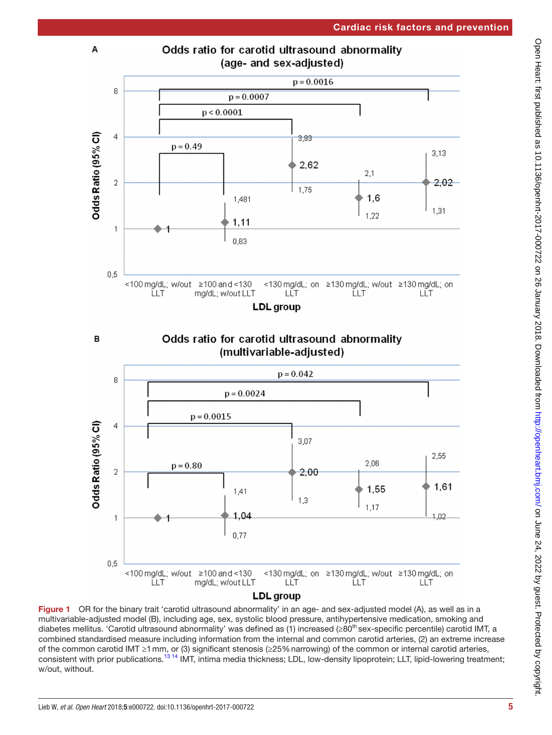

# Odds ratio for carotid ultrasound abnormality (age- and sex-adjusted)



<span id="page-4-0"></span>

**LDL** group

Figure 1 OR for the binary trait 'carotid ultrasound abnormality' in an age- and sex-adjusted model (A), as well as in a multivariable-adjusted model (B), including age, sex, systolic blood pressure, antihypertensive medication, smoking and diabetes mellitus. 'Carotid ultrasound abnormality' was defined as (1) increased ( $\geq 80^{th}$  sex-specific percentile) carotid IMT, a combined standardised measure including information from the internal and common carotid arteries, (2) an extreme increase of the common carotid IMT ≥1mm, or (3) significant stenosis (≥25%narrowing) of the common or internal carotid arteries, consistent with prior publications.<sup>13 14</sup> IMT, intima media thickness; LDL, low-density lipoprotein; LLT, lipid-lowering treatment; w/out, without.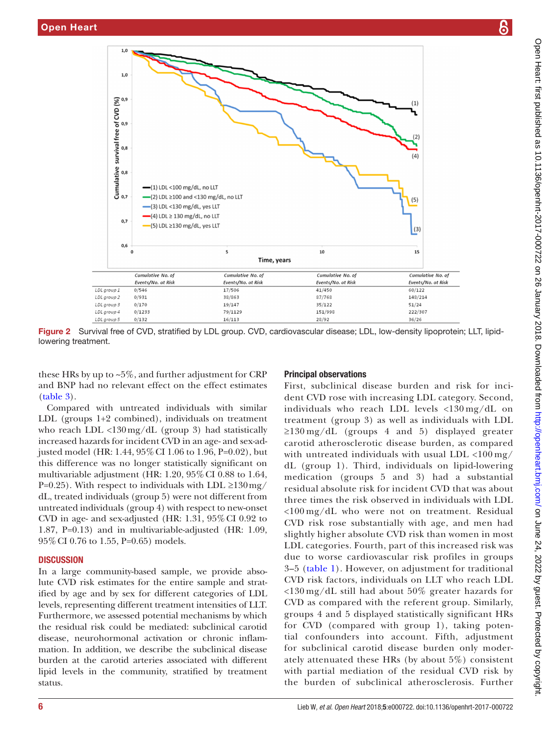

<span id="page-5-0"></span>Figure 2 Survival free of CVD, stratified by LDL group. CVD, cardiovascular disease; LDL, low-density lipoprotein; LLT, lipidlowering treatment.

these HRs by up to  $\sim 5\%$ , and further adjustment for CRP and BNP had no relevant effect on the effect estimates ([table](#page-8-0) 3).

Compared with untreated individuals with similar LDL (groups 1+2 combined), individuals on treatment who reach LDL  $\langle 130 \text{ mg}/dL$  (group 3) had statistically increased hazards for incident CVD in an age- and sex-adjusted model (HR: 1.44, 95%CI 1.06 to 1.96, P=0.02), but this difference was no longer statistically significant on multivariable adjustment (HR: 1.20, 95%CI 0.88 to 1.64, P=0.25). With respect to individuals with LDL  $\geq$ 130mg/ dL, treated individuals (group 5) were not different from untreated individuals (group 4) with respect to new-onset CVD in age- and sex-adjusted (HR: 1.31, 95%CI 0.92 to 1.87, P=0.13) and in multivariable-adjusted (HR: 1.09, 95%CI 0.76 to 1.55, P=0.65) models.

## **DISCUSSION**

In a large community-based sample, we provide absolute CVD risk estimates for the entire sample and stratified by age and by sex for different categories of LDL levels, representing different treatment intensities of LLT. Furthermore, we assessed potential mechanisms by which the residual risk could be mediated: subclinical carotid disease, neurohormonal activation or chronic inflammation. In addition, we describe the subclinical disease burden at the carotid arteries associated with different lipid levels in the community, stratified by treatment status.

## Principal observations

First, subclinical disease burden and risk for incident CVD rose with increasing LDL category. Second, individuals who reach LDL levels <130 mg/dL on treatment (group 3) as well as individuals with LDL ≥130 mg/dL (groups 4 and 5) displayed greater carotid atherosclerotic disease burden, as compared with untreated individuals with usual LDL  $\langle 100 \,\mathrm{mg}/$ dL (group 1). Third, individuals on lipid-lowering medication (groups 5 and 3) had a substantial residual absolute risk for incident CVD that was about three times the risk observed in individuals with LDL <100 mg/dL who were not on treatment. Residual CVD risk rose substantially with age, and men had slightly higher absolute CVD risk than women in most LDL categories. Fourth, part of this increased risk was due to worse cardiovascular risk profiles in groups 3–5 ([table](#page-3-0) 1). However, on adjustment for traditional CVD risk factors, individuals on LLT who reach LDL <130 mg/dL still had about 50% greater hazards for CVD as compared with the referent group. Similarly, groups 4 and 5 displayed statistically significant HRs for CVD (compared with group 1), taking potential confounders into account. Fifth, adjustment for subclinical carotid disease burden only moderately attenuated these HRs (by about 5%) consistent with partial mediation of the residual CVD risk by the burden of subclinical atherosclerosis. Further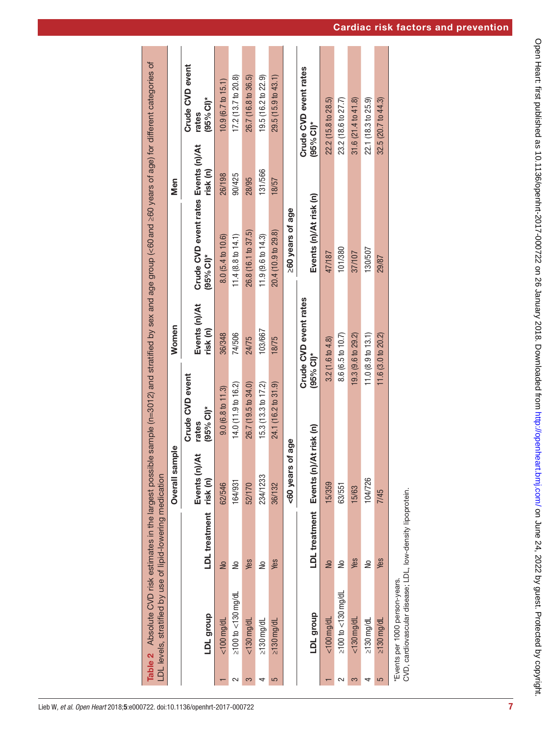|        |                                                                                            |                           | Overall sample               |                                          | Women                      |                                                     | Men          |                                          |
|--------|--------------------------------------------------------------------------------------------|---------------------------|------------------------------|------------------------------------------|----------------------------|-----------------------------------------------------|--------------|------------------------------------------|
|        | LDL group                                                                                  | LDL treatment             | ₹<br>Events (n)/<br>risk (n) | Crude CVD event<br>$(95% C!)$ *<br>rates | Events (n)/At<br>risk (n)  | Crude CVD event rates Events (n)/At<br>$(95% CI)^*$ | risk (n)     | Crude CVD event<br>$(95\%$ CI)*<br>rates |
|        | $<$ 100 $mg/dL$                                                                            | $\frac{1}{2}$             | 62/546                       | 9.0(6.8 t 0 11.3)                        | 36/348                     | 8.0 (5.4 to 10.6)                                   | 26/198       | 10.9 (6.7 to 15.1)                       |
| 2      | $\geq$ 100 to $<$ 130 mg/dL                                                                | ş                         | 164/931                      | 14.0(11.9 to 16.2)                       | 74/506                     | $11.4(8.8 \text{ to } 14.1)$                        | 90/425       | 17.2 (13.7 to 20.8)                      |
| 3      | $<$ 130 $mg/dL$                                                                            | Yes                       | 52/170                       | 26.7 (19.5 to 34.0)                      | 24/75                      | 26.8 (16.1 to 37.5)                                 | 28/95        | 26.7 (16.8 to 36.5)                      |
| 4      | $\geq$ 130 mg/dL                                                                           | å                         | 234/1233                     | 15.3 (13.3 to 17.2)                      | 103/667                    | 11.9 (9.6 to 14.3)                                  | 131/566      | 19.5 (16.2 to 22.9)                      |
| 5      | $\geq$ 130 mg/dl                                                                           | Yes                       | 36/132                       | 24.1 (16.2 to 31.9)                      | 18/75                      | 20.4 (10.9 to 29.8)                                 | 18/57        | 29.5(15.9 to 43.1)                       |
|        |                                                                                            |                           | of age<br><60 years          |                                          |                            | >60 years of age                                    |              |                                          |
|        | LDL group                                                                                  | LDL treatment Events (n)/ |                              | $(95%$ CI)*<br><b>At risk (n)</b>        | Crude CVD event rates      | Events (n)/At risk (n)                              | $(95% CI)^*$ | Crude CVD event rates                    |
|        | $<$ 100 $mg/dL$                                                                            | $\frac{1}{2}$             | 15/359                       |                                          | $3.2(1.6 \text{ to } 4.8)$ | 47/187                                              |              | 22.2 (15.8 to 28.5)                      |
| $\sim$ | $\geq$ 100 to <130 mg/dl                                                                   | å                         | 63/551                       |                                          | 8.6 (6.5 to 10.7)          | 101/380                                             |              | 23.2 (18.6 to 27.7)                      |
| 3      | $<$ 130 $mg/dL$                                                                            | Yes                       | 15/63                        |                                          | 19.3 (9.6 to 29.2)         | 37/107                                              |              | 31.6(21.4 to 41.8)                       |
|        | $\geq$ 130 mg/dL                                                                           | å                         | 104/726                      |                                          | 11.0(8.9 to 13.1)          | 130/507                                             |              | 22.1 (18.3 to 25.9)                      |
| 5      | $\geq$ 130 mg/dL                                                                           | Yes                       | 7/45                         |                                          | 11.6(3.0 to 20.2)          | 29/87                                               |              | $32.5(20.7)$ to $44.3$                   |
|        | CVD cardiovascular disease I DI I hw-density lipoprotein<br>*Events per 1000 person-years. |                           |                              |                                          |                            |                                                     |              |                                          |

Lieb W*, et al. Open Heart* 2018;5:e000722. doi:10.1136/openhrt-2017-000722 7

CVD, cardiovascular disease; LDL, low-density lipoprotein. 5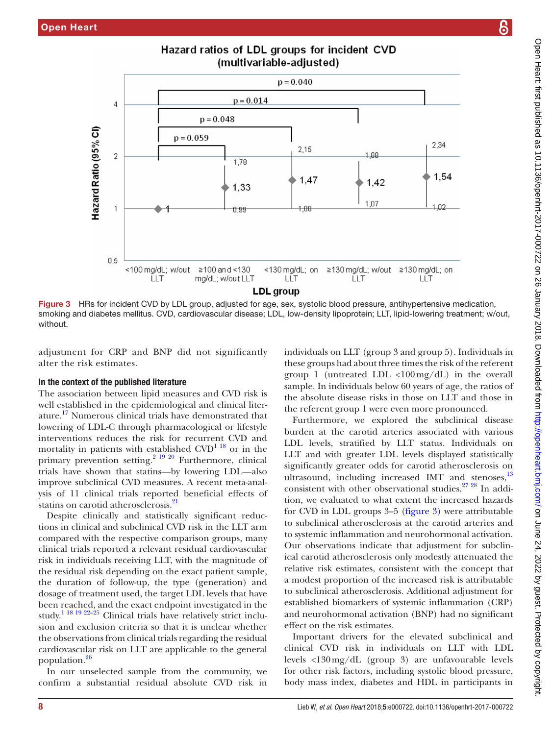

Hazard ratios of LDL groups for incident CVD

adjustment for CRP and BNP did not significantly alter the risk estimates.

<span id="page-7-0"></span>LLT

## In the context of the published literature

 $\overline{4}$ 

 $\overline{2}$ 

 $0.5$ 

Hazard Ratio (95% CI)

without.

The association between lipid measures and CVD risk is well established in the epidemiological and clinical literature.<sup>17</sup> Numerous clinical trials have demonstrated that lowering of LDL-C through pharmacological or lifestyle interventions reduces the risk for recurrent CVD and mortality in patients with established  $CVD^{1.18}$  or in the primary prevention setting.<sup>2</sup> <sup>19 20</sup> Furthermore, clinical trials have shown that statins—by lowering LDL—also improve subclinical CVD measures. A recent meta-analysis of 11 clinical trials reported beneficial effects of statins on carotid atherosclerosis.<sup>[21](#page-9-10)</sup>

Despite clinically and statistically significant reductions in clinical and subclinical CVD risk in the LLT arm compared with the respective comparison groups, many clinical trials reported a relevant residual cardiovascular risk in individuals receiving LLT, with the magnitude of the residual risk depending on the exact patient sample, the duration of follow-up, the type (generation) and dosage of treatment used, the target LDL levels that have been reached, and the exact endpoint investigated in the study.<sup>1 18 19 22–25</sup> Clinical trials have relatively strict inclusion and exclusion criteria so that it is unclear whether the observations from clinical trials regarding the residual cardiovascular risk on LLT are applicable to the general population[.26](#page-9-11)

In our unselected sample from the community, we confirm a substantial residual absolute CVD risk in

individuals on LLT (group 3 and group 5). Individuals in these groups had about three times the risk of the referent group 1 (untreated LDL  $\langle 100 \text{mg/dL} \rangle$  in the overall sample. In individuals below 60 years of age, the ratios of the absolute disease risks in those on LLT and those in the referent group 1 were even more pronounced.

Furthermore, we explored the subclinical disease burden at the carotid arteries associated with various LDL levels, stratified by LLT status. Individuals on LLT and with greater LDL levels displayed statistically significantly greater odds for carotid atherosclerosis on ultrasound, including increased IMT and stenoses, $^{13}$  $^{13}$  $^{13}$ consistent with other observational studies.[27 28](#page-9-12) In addition, we evaluated to what extent the increased hazards for CVD in LDL groups 3–5 ([figure](#page-7-0) 3) were attributable to subclinical atherosclerosis at the carotid arteries and to systemic inflammation and neurohormonal activation. Our observations indicate that adjustment for subclinical carotid atherosclerosis only modestly attenuated the relative risk estimates, consistent with the concept that a modest proportion of the increased risk is attributable to subclinical atherosclerosis. Additional adjustment for established biomarkers of systemic inflammation (CRP) and neurohormonal activation (BNP) had no significant effect on the risk estimates.

Important drivers for the elevated subclinical and clinical CVD risk in individuals on LLT with LDL levels <130mg/dL (group 3) are unfavourable levels for other risk factors, including systolic blood pressure, body mass index, diabetes and HDL in participants in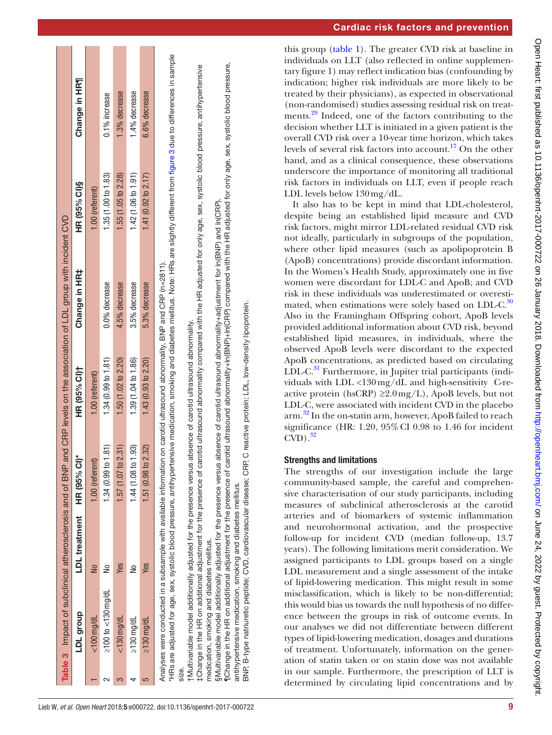|                               |                           |                                                                                                                            |                     | Table 3 Impact of subclinical atherosclerosis and of BNP and CRP levels on the association of LDL group with incident CVD |                       |                                                                                                                                                                                                 |
|-------------------------------|---------------------------|----------------------------------------------------------------------------------------------------------------------------|---------------------|---------------------------------------------------------------------------------------------------------------------------|-----------------------|-------------------------------------------------------------------------------------------------------------------------------------------------------------------------------------------------|
| dno.broup                     | LDL treatment HR (95% CI) |                                                                                                                            | HR (95% CI)†        | Change in HR‡                                                                                                             | HR (95% CI)\$         | Change in HR1                                                                                                                                                                                   |
| $<$ 100 mg/dL                 |                           | $.00$ (referent)                                                                                                           | 1.00 (referent)     |                                                                                                                           | 1.00 (referent)       |                                                                                                                                                                                                 |
| $\geq$ 100 to $\lt$ 130 mg/dL |                           | 34(0.99 t0 1.81                                                                                                            | 1.34(0.99 to 1.81)  | $0.0%$ decrease                                                                                                           | 1.35 (1.00 to 1.83)   | $0.1\%$ increase                                                                                                                                                                                |
| $<$ 130 mg/dL                 | Yes                       | $1.57(1.07$ to $2.31)$                                                                                                     | 1.50 (1.02 to 2.20) | 4.5% decrease                                                                                                             | 1.55 (1.05 to 2.28)   | 1.3% decrease                                                                                                                                                                                   |
| $\geq$ 130 mg/dL              |                           | 1.44(1.08 to 1.93)                                                                                                         | 1.39 (1.04 to 1.86) | 3.5% decrease                                                                                                             | 1.42(1.06 to 1.91)    | $1.4%$ decrease                                                                                                                                                                                 |
| $\geq$ 130 mg/dL              | <b>Yes</b>                | $1.51\ (0.98 \ to \ 2.32)$                                                                                                 | 1.43(0.93 to 2.20)  | 5.3% decrease                                                                                                             | 1.41 $(0.92 10 2.17)$ | 6.6% decrease                                                                                                                                                                                   |
|                               |                           | Analyses were conducted in a subsample with available information on carotid ultrasound abnormality, BNP and CRP (n=2811). |                     |                                                                                                                           |                       | HRs are adjusted for age, sex, systolic blood pressure, antihypertensive medication, smoking and diabetes mellitus. Note: HRs are slightly different from figure 3 due to differences in sample |

size.

tMultivariable model additionally adjusted for the presence versus absence of carotid ultrasound abnormality. †Multivariable model additionally adjusted for the presence versus absence of carotid ultrasound abnormality.

FChange in the HR on additional adjustment for the presence of carotid ultrasound abnormality compared with the HR adjusted for only age, sex, systolic blood pressure, antihypertensive ‡Change in the HR on additional adjustment for the presence of carotid ultrasound abnormality compared with the HR adjusted for only age, sex, systolic blood pressure, antihypertensive medication, smoking and diabetes mellitus. medication, smoking and diabetes mellitus.

§Multivariable model additionally adjusted for the presence versus absence of carotid ultrasound abnormality+adjustment for ln(BNP) and ln(CRP). Nultivariable model additionally adjusted for the presence versus absence of carotid ultrasound abnormality+adjustment for In(BNP) and In(CRP).

¶Change in the HR on additional adjustment for the presence of carotid ultrasound abnormality+ln(BNP)+ln(CRP) compared with the HR adjusted for only age, sex, systolic blood pressure, Change in the HR on additional adjustment for the presence of carotid ultrasound abnormality+In(DRP) compared with the HR adjusted for only age, sex, systolic blood pressure, antihypertensive medication, smoking and diabetes mellitus. antihypertensive medication, smoking and diabetes mellitus.

C reactive protein; LDL, low-density lipoprotein. BNP, B-type natriuretic peptide; CVD, cardiovascular disease; CRP, C reactive protein; LDL, low-density lipoprotein. : CRP. cardiovascular disease; B-type natriuretic peptide; CVD, BNP,

Cardiac risk factors and prevention

this group [\(table](#page-3-0) 1). The greater CVD risk at baseline in individuals on LLT (also reflected in online [supplemen](https://dx.doi.org/10.1136/openhrt-2017-000722)[tary figure 1\)](https://dx.doi.org/10.1136/openhrt-2017-000722) may reflect indication bias (confounding by indication; higher risk individuals are more likely to be treated by their physicians), as expected in observational (non-randomised) studies assessing residual risk on treatments.[29](#page-9-13) Indeed, one of the factors contributing to the decision whether LLT is initiated in a given patient is the overall CVD risk over a 10-year time horizon, which takes levels of several risk factors into account.<sup>17</sup> On the other hand, and as a clinical consequence, these observations underscore the importance of monitoring all traditional risk factors in individuals on LLT, even if people reach LDL levels below 130mg/dL.

It also has to be kept in mind that LDL-cholesterol, despite being an established lipid measure and CVD risk factors, might mirror LDL-related residual CVD risk not ideally, particularly in subgroups of the population, where other lipid measures (such as apolipoprotein B (ApoB) concentrations) provide discordant information. In the Women's Health Study, approximately one in five women were discordant for LDL-C and ApoB; and CVD risk in these individuals was underestimated or overesti-mated, when estimations were solely based on LDL-C.<sup>[30](#page-9-14)</sup> Also in the Framingham Offspring cohort, ApoB levels provided additional information about CVD risk, beyond established lipid measures, in individuals, where the observed ApoB levels were discordant to the expected ApoB concentrations, as predicted based on circulating LDL-C. $31$  Furthermore, in Jupiter trial participants (individuals with LDL <130mg/dL and high-sensitivity C-reactive protein (hsCRP)  $\geq 2.0 \,\text{mg/L}$ ), ApoB levels, but not LDL-C, were associated with incident CVD in the placebo arm.[32](#page-9-16) In the on-statin arm, however, ApoB failed to reach significance (HR: 1.20, 95%CI 0.98 to 1.46 for incident  $CVD$ ).<sup>32</sup>

## Strengths and limitations

<span id="page-8-0"></span>The strengths of our investigation include the large community-based sample, the careful and comprehensive characterisation of our study participants, including measures of subclinical atherosclerosis at the carotid arteries and of biomarkers of systemic inflammation and neurohormonal activation, and the prospective follow-up for incident CVD (median follow-up, 13.7 years). The following limitations merit consideration. We assigned participants to LDL groups based on a single LDL measurement and a single assessment of the intake of lipid-lowering medication. This might result in some misclassification, which is likely to be non-differential; this would bias us towards the null hypothesis of no difference between the groups in risk of outcome events. In our analyses we did not differentiate between different types of lipid-lowering medication, dosages and durations of treatment. Unfortunately, information on the generation of statin taken or on statin dose was not available in our sample. Furthermore, the prescription of LLT is determined by circulating lipid concentrations and by